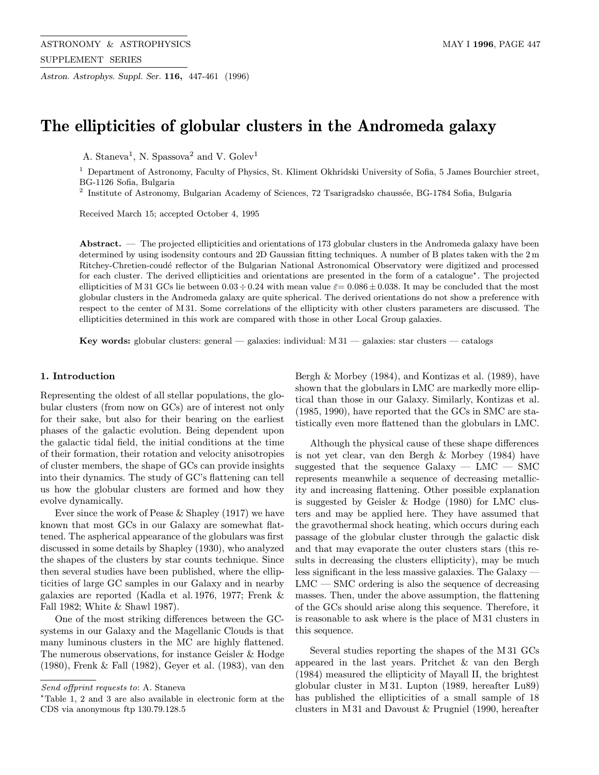Astron. Astrophys. Suppl. Ser. 116, 447-461 (1996)

# The ellipticities of globular clusters in the Andromeda galaxy

A. Staneva<sup>1</sup>, N. Spassova<sup>2</sup> and V. Golev<sup>1</sup>

<sup>1</sup> Department of Astronomy, Faculty of Physics, St. Kliment Okhridski University of Sofia, 5 James Bourchier street, BG-1126 Sofia, Bulgaria

 $^{2}$  Institute of Astronomy, Bulgarian Academy of Sciences, 72 Tsarigradsko chaussée, BG-1784 Sofia, Bulgaria

Received March 15; accepted October 4, 1995

Abstract. — The projected ellipticities and orientations of 173 globular clusters in the Andromeda galaxy have been determined by using isodensity contours and 2D Gaussian fitting techniques. A number of B plates taken with the 2 m Ritchey-Chretien-coudé reflector of the Bulgarian National Astronomical Observatory were digitized and processed for each cluster. The derived ellipticities and orientations are presented in the form of a catalogue?. The projected ellipticities of M 31 GCs lie between  $0.03 \div 0.24$  with mean value  $\bar{\varepsilon} = 0.086 \pm 0.038$ . It may be concluded that the most globular clusters in the Andromeda galaxy are quite spherical. The derived orientations do not show a preference with respect to the center of M 31. Some correlations of the ellipticity with other clusters parameters are discussed. The ellipticities determined in this work are compared with those in other Local Group galaxies.

**Key words:** globular clusters: general — galaxies: individual:  $M(31)$  — galaxies: star clusters — catalogs

#### 1. Introduction

Representing the oldest of all stellar populations, the globular clusters (from now on GCs) are of interest not only for their sake, but also for their bearing on the earliest phases of the galactic evolution. Being dependent upon the galactic tidal field, the initial conditions at the time of their formation, their rotation and velocity anisotropies of cluster members, the shape of GCs can provide insights into their dynamics. The study of GC's flattening can tell us how the globular clusters are formed and how they evolve dynamically.

Ever since the work of Pease & Shapley (1917) we have known that most GCs in our Galaxy are somewhat flattened. The aspherical appearance of the globulars was first discussed in some details by Shapley (1930), who analyzed the shapes of the clusters by star counts technique. Since then several studies have been published, where the ellipticities of large GC samples in our Galaxy and in nearby galaxies are reported (Kadla et al. 1976, 1977; Frenk & Fall 1982; White & Shawl 1987).

One of the most striking differences between the GCsystems in our Galaxy and the Magellanic Clouds is that many luminous clusters in the MC are highly flattened. The numerous observations, for instance Geisler & Hodge (1980), Frenk & Fall (1982), Geyer et al. (1983), van den Bergh & Morbey (1984), and Kontizas et al. (1989), have shown that the globulars in LMC are markedly more elliptical than those in our Galaxy. Similarly, Kontizas et al. (1985, 1990), have reported that the GCs in SMC are statistically even more flattened than the globulars in LMC.

Although the physical cause of these shape differences is not yet clear, van den Bergh & Morbey (1984) have suggested that the sequence Galaxy — LMC — SMC represents meanwhile a sequence of decreasing metallicity and increasing flattening. Other possible explanation is suggested by Geisler & Hodge (1980) for LMC clusters and may be applied here. They have assumed that the gravothermal shock heating, which occurs during each passage of the globular cluster through the galactic disk and that may evaporate the outer clusters stars (this results in decreasing the clusters ellipticity), may be much less significant in the less massive galaxies. The Galaxy —  $LMC - SMC$  ordering is also the sequence of decreasing masses. Then, under the above assumption, the flattening of the GCs should arise along this sequence. Therefore, it is reasonable to ask where is the place of M 31 clusters in this sequence.

Several studies reporting the shapes of the M 31 GCs appeared in the last years. Pritchet & van den Bergh (1984) measured the ellipticity of Mayall II, the brightest globular cluster in M 31. Lupton (1989, hereafter Lu89) has published the ellipticities of a small sample of 18 clusters in M 31 and Davoust & Prugniel (1990, hereafter

Send offprint requests to: A. Staneva

<sup>?</sup>Table 1, 2 and 3 are also available in electronic form at the CDS via anonymous ftp 130.79.128.5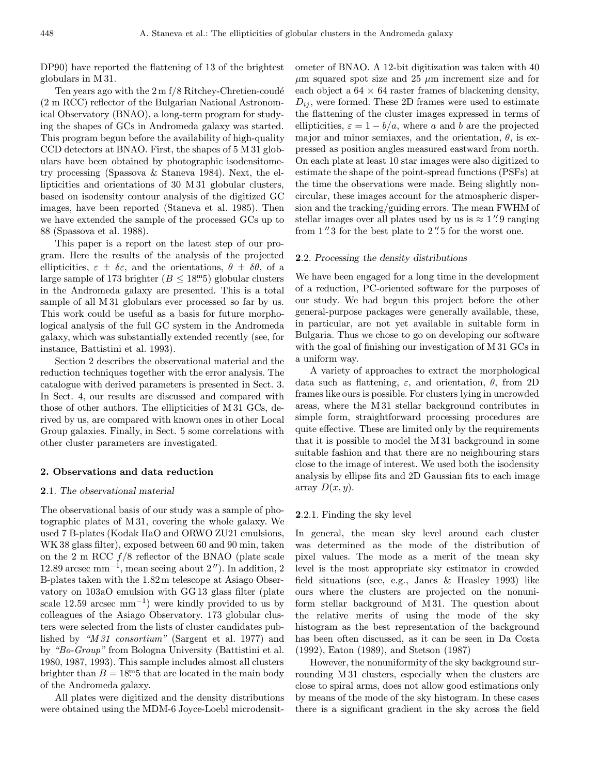DP90) have reported the flattening of 13 of the brightest globulars in M 31.

Ten years ago with the  $2 \text{ m f} / 8$  Ritchey-Chretien-coudé (2 m RCC) reflector of the Bulgarian National Astronomical Observatory (BNAO), a long-term program for studying the shapes of GCs in Andromeda galaxy was started. This program begun before the availability of high-quality CCD detectors at BNAO. First, the shapes of 5 M 31 globulars have been obtained by photographic isodensitometry processing (Spassova & Staneva 1984). Next, the ellipticities and orientations of 30 M 31 globular clusters, based on isodensity contour analysis of the digitized GC images, have been reported (Staneva et al. 1985). Then we have extended the sample of the processed GCs up to 88 (Spassova et al. 1988).

This paper is a report on the latest step of our program. Here the results of the analysis of the projected ellipticities,  $\varepsilon \pm \delta \varepsilon$ , and the orientations,  $\theta \pm \delta \theta$ , of a large sample of 173 brighter  $(B \le 18^{\rm m}5)$  globular clusters in the Andromeda galaxy are presented. This is a total sample of all M 31 globulars ever processed so far by us. This work could be useful as a basis for future morphological analysis of the full GC system in the Andromeda galaxy, which was substantially extended recently (see, for instance, Battistini et al. 1993).

Section 2 describes the observational material and the reduction techniques together with the error analysis. The catalogue with derived parameters is presented in Sect. 3. In Sect. 4, our results are discussed and compared with those of other authors. The ellipticities of M 31 GCs, derived by us, are compared with known ones in other Local Group galaxies. Finally, in Sect. 5 some correlations with other cluster parameters are investigated.

#### 2. Observations and data reduction

## 2.1. The observational material

The observational basis of our study was a sample of photographic plates of M 31, covering the whole galaxy. We used 7 B-plates (Kodak IIaO and ORWO ZU21 emulsions, WK 38 glass filter), exposed between 60 and 90 min, taken on the 2 m RCC  $f/8$  reflector of the BNAO (plate scale 12.89 arcsec mm<sup>-1</sup>, mean seeing about  $2'$ ). In addition, 2 B-plates taken with the 1.82m telescope at Asiago Observatory on 103aO emulsion with GG 13 glass filter (plate scale 12.59 arcsec mm<sup>-1</sup>) were kindly provided to us by colleagues of the Asiago Observatory. 173 globular clusters were selected from the lists of cluster candidates published by "M 31 consortium" (Sargent et al. 1977) and by "Bo-Group" from Bologna University (Battistini et al. 1980, 1987, 1993). This sample includes almost all clusters brighter than  $B = 18<sup>m</sup>5$  that are located in the main body of the Andromeda galaxy.

All plates were digitized and the density distributions were obtained using the MDM-6 Joyce-Loebl microdensitometer of BNAO. A 12-bit digitization was taken with 40  $\mu$ m squared spot size and 25  $\mu$ m increment size and for each object a  $64 \times 64$  raster frames of blackening density,  $D_{ij}$ , were formed. These 2D frames were used to estimate the flattening of the cluster images expressed in terms of ellipticities,  $\varepsilon = 1 - b/a$ , where a and b are the projected major and minor semiaxes, and the orientation,  $\theta$ , is expressed as position angles measured eastward from north. On each plate at least 10 star images were also digitized to estimate the shape of the point-spread functions (PSFs) at the time the observations were made. Being slightly noncircular, these images account for the atmospheric dispersion and the tracking/guiding errors. The mean FWHM of stellar images over all plates used by us is  $\approx 1''$ . 9 ranging from  $1''\!\!.3$  for the best plate to  $2''\!\!.5$  for the worst one.

#### 2.2. Processing the density distributions

We have been engaged for a long time in the development of a reduction, PC-oriented software for the purposes of our study. We had begun this project before the other general-purpose packages were generally available, these, in particular, are not yet available in suitable form in Bulgaria. Thus we chose to go on developing our software with the goal of finishing our investigation of M 31 GCs in a uniform way.

A variety of approaches to extract the morphological data such as flattening,  $\varepsilon$ , and orientation,  $\theta$ , from 2D frames like ours is possible. For clusters lying in uncrowded areas, where the M 31 stellar background contributes in simple form, straightforward processing procedures are quite effective. These are limited only by the requirements that it is possible to model the M 31 background in some suitable fashion and that there are no neighbouring stars close to the image of interest. We used both the isodensity analysis by ellipse fits and 2D Gaussian fits to each image array  $D(x, y)$ .

## 2.2.1. Finding the sky level

In general, the mean sky level around each cluster was determined as the mode of the distribution of pixel values. The mode as a merit of the mean sky level is the most appropriate sky estimator in crowded field situations (see, e.g., Janes & Heasley 1993) like ours where the clusters are projected on the nonuniform stellar background of M 31. The question about the relative merits of using the mode of the sky histogram as the best representation of the background has been often discussed, as it can be seen in Da Costa (1992), Eaton (1989), and Stetson (1987)

However, the nonuniformity of the sky background surrounding M 31 clusters, especially when the clusters are close to spiral arms, does not allow good estimations only by means of the mode of the sky histogram. In these cases there is a significant gradient in the sky across the field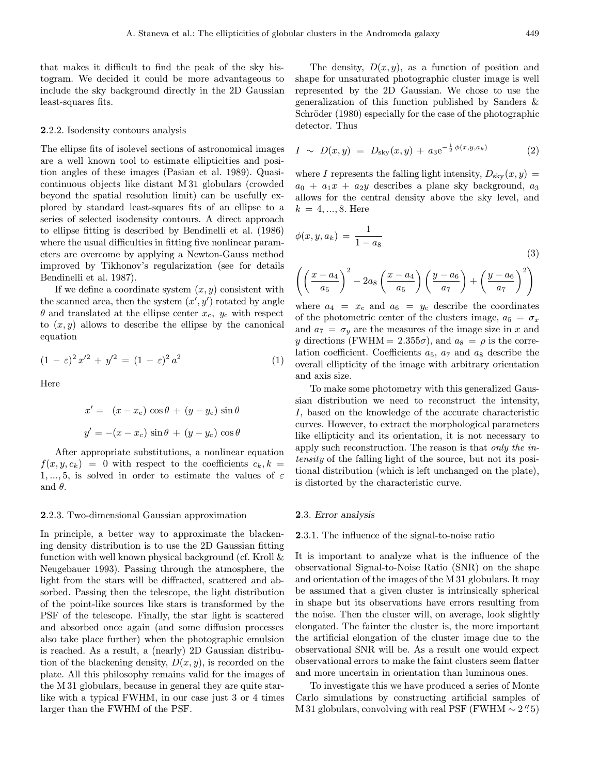that makes it difficult to find the peak of the sky histogram. We decided it could be more advantageous to include the sky background directly in the 2D Gaussian least-squares fits.

#### 2.2.2. Isodensity contours analysis

The ellipse fits of isolevel sections of astronomical images are a well known tool to estimate ellipticities and position angles of these images (Pasian et al. 1989). Quasicontinuous objects like distant M 31 globulars (crowded beyond the spatial resolution limit) can be usefully explored by standard least-squares fits of an ellipse to a series of selected isodensity contours. A direct approach to ellipse fitting is described by Bendinelli et al. (1986) where the usual difficulties in fitting five nonlinear parameters are overcome by applying a Newton-Gauss method improved by Tikhonov's regularization (see for details Bendinelli et al. 1987).

If we define a coordinate system  $(x, y)$  consistent with the scanned area, then the system  $(x', y')$  rotated by angle  $\theta$  and translated at the ellipse center  $x_c$ ,  $y_c$  with respect to  $(x, y)$  allows to describe the ellipse by the canonical equation

$$
(1 - \varepsilon)^2 x'^2 + y'^2 = (1 - \varepsilon)^2 a^2 \tag{1}
$$

Here

$$
x' = (x - x_c) \cos \theta + (y - y_c) \sin \theta
$$

$$
y' = -(x - x_c) \sin \theta + (y - y_c) \cos \theta
$$

After appropriate substitutions, a nonlinear equation  $f(x, y, c_k) = 0$  with respect to the coefficients  $c_k, k =$ 1, ..., 5, is solved in order to estimate the values of  $\varepsilon$ and  $\theta$ .

#### 2.2.3. Two-dimensional Gaussian approximation

In principle, a better way to approximate the blackening density distribution is to use the 2D Gaussian fitting function with well known physical background (cf. Kroll & Neugebauer 1993). Passing through the atmosphere, the light from the stars will be diffracted, scattered and absorbed. Passing then the telescope, the light distribution of the point-like sources like stars is transformed by the PSF of the telescope. Finally, the star light is scattered and absorbed once again (and some diffusion processes also take place further) when the photographic emulsion is reached. As a result, a (nearly) 2D Gaussian distribution of the blackening density,  $D(x, y)$ , is recorded on the plate. All this philosophy remains valid for the images of the M 31 globulars, because in general they are quite starlike with a typical FWHM, in our case just 3 or 4 times larger than the FWHM of the PSF.

The density,  $D(x, y)$ , as a function of position and shape for unsaturated photographic cluster image is well represented by the 2D Gaussian. We chose to use the generalization of this function published by Sanders & Schröder (1980) especially for the case of the photographic detector. Thus

$$
I \sim D(x, y) = D_{\text{sky}}(x, y) + a_3 e^{-\frac{1}{2} \phi(x, y, a_k)}
$$
(2)

where I represents the falling light intensity,  $D_{\rm sky}(x, y) =$  $a_0 + a_1x + a_2y$  describes a plane sky background,  $a_3$ allows for the central density above the sky level, and  $k = 4, ..., 8$ . Here

$$
\phi(x, y, a_k) = \frac{1}{1 - a_8}
$$
\n
$$
\left( \left( \frac{x - a_4}{a_5} \right)^2 - 2a_8 \left( \frac{x - a_4}{a_5} \right) \left( \frac{y - a_6}{a_7} \right) + \left( \frac{y - a_6}{a_7} \right)^2 \right)
$$
\n(3)

where  $a_4 = x_c$  and  $a_6 = y_c$  describe the coordinates of the photometric center of the clusters image,  $a_5 = \sigma_x$ and  $a_7 = \sigma_y$  are the measures of the image size in x and y directions (FWHM = 2.355 $\sigma$ ), and  $a_8 = \rho$  is the correlation coefficient. Coefficients  $a_5$ ,  $a_7$  and  $a_8$  describe the overall ellipticity of the image with arbitrary orientation and axis size.

To make some photometry with this generalized Gaussian distribution we need to reconstruct the intensity, I, based on the knowledge of the accurate characteristic curves. However, to extract the morphological parameters like ellipticity and its orientation, it is not necessary to apply such reconstruction. The reason is that only the intensity of the falling light of the source, but not its positional distribution (which is left unchanged on the plate), is distorted by the characteristic curve.

#### 2.3. Error analysis

#### 2.3.1. The influence of the signal-to-noise ratio

It is important to analyze what is the influence of the observational Signal-to-Noise Ratio (SNR) on the shape and orientation of the images of the M 31 globulars. It may be assumed that a given cluster is intrinsically spherical in shape but its observations have errors resulting from the noise. Then the cluster will, on average, look slightly elongated. The fainter the cluster is, the more important the artificial elongation of the cluster image due to the observational SNR will be. As a result one would expect observational errors to make the faint clusters seem flatter and more uncertain in orientation than luminous ones.

To investigate this we have produced a series of Monte Carlo simulations by constructing artificial samples of M 31 globulars, convolving with real PSF (FWHM  $\sim 2''.5$ )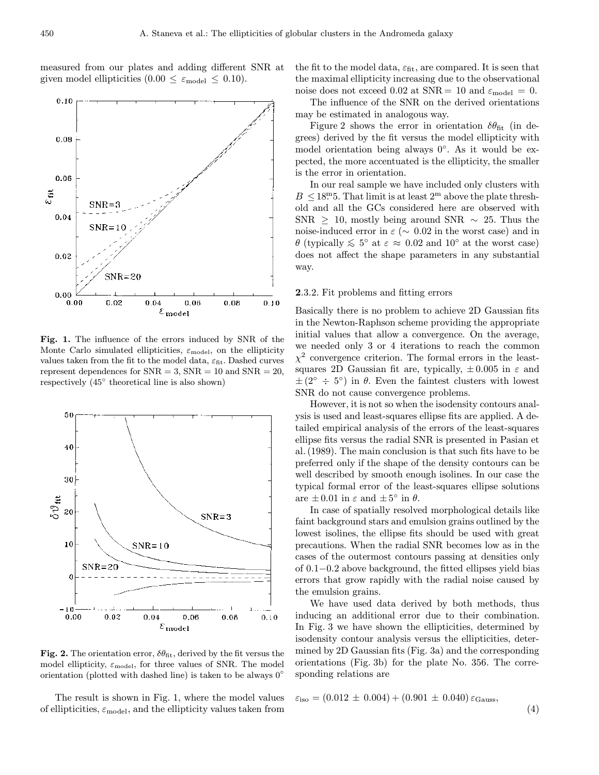measured from our plates and adding different SNR at given model ellipticities  $(0.00 \leq \varepsilon_{\text{model}} \leq 0.10)$ .





Fig. 2. The orientation error,  $\delta\theta_{\rm fit}$ , derived by the fit versus the model ellipticity,  $\varepsilon_{\text{model}}$ , for three values of SNR. The model orientation (plotted with dashed line) is taken to be always  $0°$ 

The result is shown in Fig. 1, where the model values of ellipticities,  $\varepsilon_{\text{model}}$ , and the ellipticity values taken from

the fit to the model data,  $\varepsilon_{\text{fit}}$ , are compared. It is seen that the maximal ellipticity increasing due to the observational noise does not exceed 0.02 at SNR = 10 and  $\varepsilon_{\text{model}} = 0$ .

The influence of the SNR on the derived orientations may be estimated in analogous way.

Figure 2 shows the error in orientation  $\delta\theta_{\rm fit}$  (in degrees) derived by the fit versus the model ellipticity with model orientation being always 0◦. As it would be expected, the more accentuated is the ellipticity, the smaller is the error in orientation.

In our real sample we have included only clusters with  $B \leq 18^{\circ}$ . That limit is at least  $2^{\circ}$  above the plate threshold and all the GCs considered here are observed with SNR  $\geq$  10, mostly being around SNR  $\sim$  25. Thus the noise-induced error in  $\varepsilon$  ( $\sim$  0.02 in the worst case) and in  $\theta$  (typically  $\lesssim 5^{\circ}$  at  $\varepsilon \approx 0.02$  and  $10^{\circ}$  at the worst case) does not affect the shape parameters in any substantial way.

#### 2.3.2. Fit problems and fitting errors

Basically there is no problem to achieve 2D Gaussian fits in the Newton-Raphson scheme providing the appropriate initial values that allow a convergence. On the average, we needed only 3 or 4 iterations to reach the common  $\chi^2$  convergence criterion. The formal errors in the leastsquares 2D Gaussian fit are, typically,  $\pm 0.005$  in  $\varepsilon$  and  $\pm (2^{\circ} \div 5^{\circ})$  in  $\theta$ . Even the faintest clusters with lowest SNR do not cause convergence problems.

However, it is not so when the isodensity contours analysis is used and least-squares ellipse fits are applied. A detailed empirical analysis of the errors of the least-squares ellipse fits versus the radial SNR is presented in Pasian et al. (1989). The main conclusion is that such fits have to be preferred only if the shape of the density contours can be well described by smooth enough isolines. In our case the typical formal error of the least-squares ellipse solutions are  $\pm 0.01$  in  $\varepsilon$  and  $\pm 5^{\circ}$  in  $\theta$ .

In case of spatially resolved morphological details like faint background stars and emulsion grains outlined by the lowest isolines, the ellipse fits should be used with great precautions. When the radial SNR becomes low as in the cases of the outermost contours passing at densities only of 0.1−0.2 above background, the fitted ellipses yield bias errors that grow rapidly with the radial noise caused by the emulsion grains.

We have used data derived by both methods, thus inducing an additional error due to their combination. In Fig. 3 we have shown the ellipticities, determined by isodensity contour analysis versus the ellipticities, determined by 2D Gaussian fits (Fig. 3a) and the corresponding orientations (Fig. 3b) for the plate No. 356. The corresponding relations are

$$
\varepsilon_{\text{iso}} = (0.012 \pm 0.004) + (0.901 \pm 0.040) \varepsilon_{\text{Gauss}},\tag{4}
$$

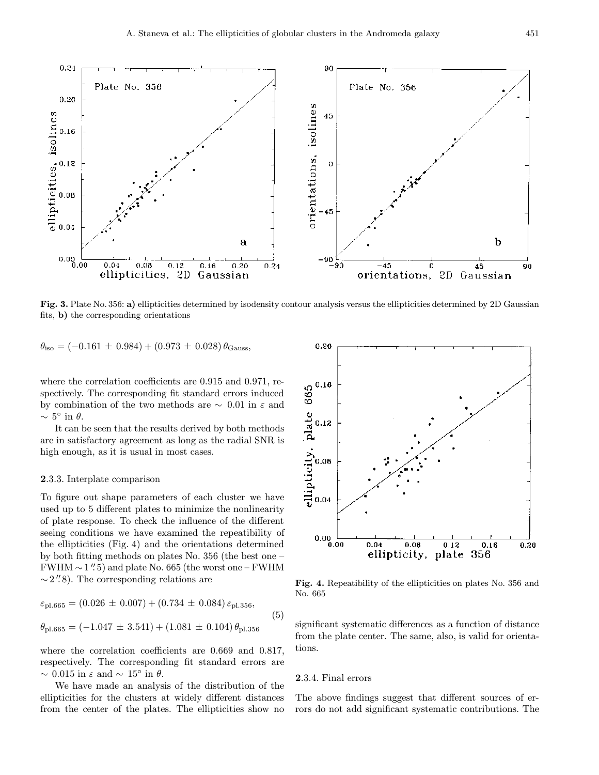

Fig. 3. Plate No. 356: a) ellipticities determined by isodensity contour analysis versus the ellipticities determined by 2D Gaussian fits, b) the corresponding orientations

$$
\theta_{\text{iso}} = (-0.161 \pm 0.984) + (0.973 \pm 0.028) \theta_{\text{Gauss}}
$$

where the correlation coefficients are 0.915 and 0.971, respectively. The corresponding fit standard errors induced by combination of the two methods are  $\sim 0.01$  in  $\varepsilon$  and  $\sim 5^{\circ}$  in  $\theta$ .

It can be seen that the results derived by both methods are in satisfactory agreement as long as the radial SNR is high enough, as it is usual in most cases.

#### 2.3.3. Interplate comparison

To figure out shape parameters of each cluster we have used up to 5 different plates to minimize the nonlinearity of plate response. To check the influence of the different seeing conditions we have examined the repeatibility of the ellipticities (Fig. 4) and the orientations determined by both fitting methods on plates No. 356 (the best one –  $FWHM \sim 1''.5$ ) and plate No. 665 (the worst one – FWHM  $\sim$  2".8). The corresponding relations are

$$
\varepsilon_{\text{pl.665}} = (0.026 \pm 0.007) + (0.734 \pm 0.084) \varepsilon_{\text{pl.356}},
$$
  
\n
$$
\theta_{\text{pl.665}} = (-1.047 \pm 3.541) + (1.081 \pm 0.104) \theta_{\text{pl.356}} \tag{5}
$$

where the correlation coefficients are 0.669 and 0.817, respectively. The corresponding fit standard errors are  $\sim 0.015$  in  $\varepsilon$  and  $\sim 15^{\circ}$  in  $\theta$ .

We have made an analysis of the distribution of the ellipticities for the clusters at widely different distances from the center of the plates. The ellipticities show no



Fig. 4. Repeatibility of the ellipticities on plates No. 356 and No. 665

significant systematic differences as a function of distance from the plate center. The same, also, is valid for orientations.

# 2.3.4. Final errors

The above findings suggest that different sources of errors do not add significant systematic contributions. The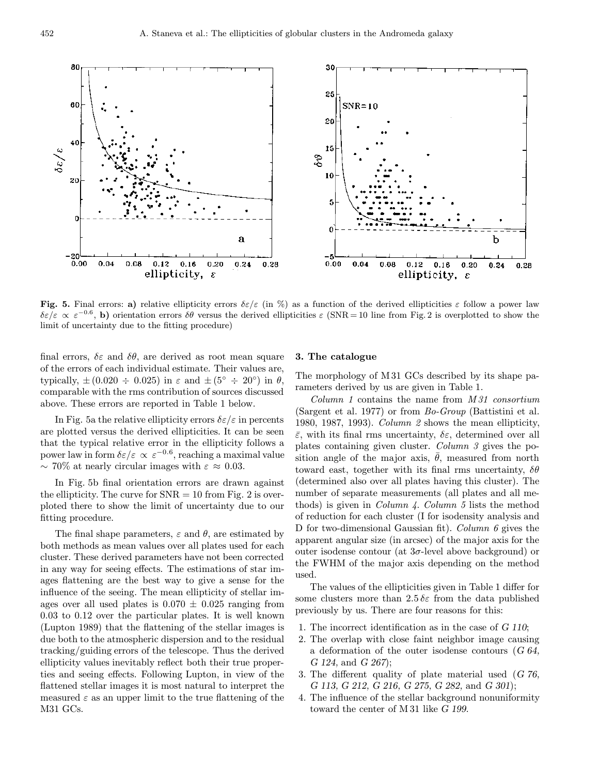

Fig. 5. Final errors: a) relative ellipticity errors  $\delta \varepsilon / \varepsilon$  (in %) as a function of the derived ellipticities  $\varepsilon$  follow a power law  $\delta \varepsilon/\varepsilon \propto \varepsilon^{-0.6}$ , b) orientation errors  $\delta \theta$  versus the derived ellipticities  $\varepsilon$  (SNR = 10 line from Fig. 2 is overplotted to show the limit of uncertainty due to the fitting procedure)

final errors,  $\delta \varepsilon$  and  $\delta \theta$ , are derived as root mean square of the errors of each individual estimate. Their values are, typically,  $\pm (0.020 \div 0.025)$  in  $\varepsilon$  and  $\pm (5^{\circ} \div 20^{\circ})$  in  $\theta$ , comparable with the rms contribution of sources discussed above. These errors are reported in Table 1 below.

In Fig. 5a the relative ellipticity errors  $\delta \varepsilon / \varepsilon$  in percents are plotted versus the derived ellipticities. It can be seen that the typical relative error in the ellipticity follows a power law in form  $\delta \varepsilon/\varepsilon \propto \varepsilon^{-0.6}$ , reaching a maximal value  $\sim$  70% at nearly circular images with  $\varepsilon \approx 0.03$ .

In Fig. 5b final orientation errors are drawn against the ellipticity. The curve for  $SNR = 10$  from Fig. 2 is overploted there to show the limit of uncertainty due to our fitting procedure.

The final shape parameters,  $\varepsilon$  and  $\theta$ , are estimated by both methods as mean values over all plates used for each cluster. These derived parameters have not been corrected in any way for seeing effects. The estimations of star images flattening are the best way to give a sense for the influence of the seeing. The mean ellipticity of stellar images over all used plates is  $0.070 \pm 0.025$  ranging from 0.03 to 0.12 over the particular plates. It is well known (Lupton 1989) that the flattening of the stellar images is due both to the atmospheric dispersion and to the residual tracking/guiding errors of the telescope. Thus the derived ellipticity values inevitably reflect both their true properties and seeing effects. Following Lupton, in view of the flattened stellar images it is most natural to interpret the measured  $\varepsilon$  as an upper limit to the true flattening of the M31 GCs.

# 3. The catalogue

The morphology of M 31 GCs described by its shape parameters derived by us are given in Table 1.

 $Column 1 contains the name from M31 consortium$ (Sargent et al. 1977) or from Bo-Group (Battistini et al. 1980, 1987, 1993). Column 2 shows the mean ellipticity,  $\bar{\varepsilon}$ , with its final rms uncertainty,  $\delta \varepsilon$ , determined over all plates containing given cluster. Column 3 gives the position angle of the major axis,  $\bar{\theta}$ , measured from north toward east, together with its final rms uncertainty,  $\delta\theta$ (determined also over all plates having this cluster). The number of separate measurements (all plates and all methods) is given in *Column 4. Column 5* lists the method of reduction for each cluster (I for isodensity analysis and D for two-dimensional Gaussian fit). Column 6 gives the apparent angular size (in arcsec) of the major axis for the outer isodense contour (at  $3\sigma$ -level above background) or the FWHM of the major axis depending on the method used.

The values of the ellipticities given in Table 1 differ for some clusters more than  $2.5 \delta \varepsilon$  from the data published previously by us. There are four reasons for this:

- 1. The incorrect identification as in the case of G 110;
- 2. The overlap with close faint neighbor image causing a deformation of the outer isodense contours (G 64, G 124, and G 267);
- 3. The different quality of plate material used (G 76, G 113, G 212, G 216, G 275, G 282, and G 301);
- 4. The influence of the stellar background nonuniformity toward the center of M 31 like G 199.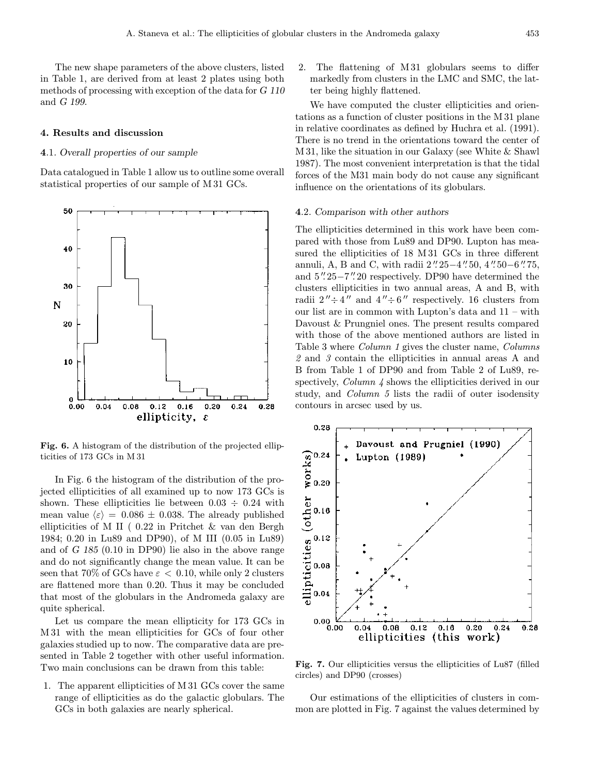The new shape parameters of the above clusters, listed in Table 1, are derived from at least 2 plates using both methods of processing with exception of the data for G 110 and G 199.

#### 4. Results and discussion

## 4.1. Overall properties of our sample

Data catalogued in Table 1 allow us to outline some overall statistical properties of our sample of M 31 GCs.



Fig. 6. A histogram of the distribution of the projected ellipticities of 173 GCs in M 31

In Fig. 6 the histogram of the distribution of the projected ellipticities of all examined up to now 173 GCs is shown. These ellipticities lie between  $0.03 \div 0.24$  with mean value  $\langle \varepsilon \rangle = 0.086 \pm 0.038$ . The already published ellipticities of M II ( 0.22 in Pritchet & van den Bergh 1984; 0.20 in Lu89 and DP90), of M III (0.05 in Lu89) and of G 185 (0.10 in DP90) lie also in the above range and do not significantly change the mean value. It can be seen that 70% of GCs have  $\varepsilon < 0.10$ , while only 2 clusters are flattened more than 0.20. Thus it may be concluded that most of the globulars in the Andromeda galaxy are quite spherical.

Let us compare the mean ellipticity for 173 GCs in M 31 with the mean ellipticities for GCs of four other galaxies studied up to now. The comparative data are presented in Table 2 together with other useful information. Two main conclusions can be drawn from this table:

1. The apparent ellipticities of M 31 GCs cover the same range of ellipticities as do the galactic globulars. The GCs in both galaxies are nearly spherical.

2. The flattening of M 31 globulars seems to differ markedly from clusters in the LMC and SMC, the latter being highly flattened.

We have computed the cluster ellipticities and orientations as a function of cluster positions in the M 31 plane in relative coordinates as defined by Huchra et al. (1991). There is no trend in the orientations toward the center of M 31, like the situation in our Galaxy (see White & Shawl 1987). The most convenient interpretation is that the tidal forces of the M31 main body do not cause any significant influence on the orientations of its globulars.

#### 4.2. Comparison with other authors

The ellipticities determined in this work have been compared with those from Lu89 and DP90. Lupton has measured the ellipticities of 18 M 31 GCs in three different annuli, A, B and C, with radii  $2''.25-4''.50, 4''.50-6''.75,$ and  $5''.25-7''.20$  respectively. DP90 have determined the clusters ellipticities in two annual areas, A and B, with radii  $2'' \div 4''$  and  $4'' \div 6''$  respectively. 16 clusters from our list are in common with Lupton's data and 11 – with Davoust & Prungniel ones. The present results compared with those of the above mentioned authors are listed in Table 3 where Column 1 gives the cluster name, Columns 2 and 3 contain the ellipticities in annual areas A and B from Table 1 of DP90 and from Table 2 of Lu89, respectively, *Column 4* shows the ellipticities derived in our study, and Column 5 lists the radii of outer isodensity contours in arcsec used by us.



Fig. 7. Our ellipticities versus the ellipticities of Lu87 (filled circles) and DP90 (crosses)

Our estimations of the ellipticities of clusters in common are plotted in Fig. 7 against the values determined by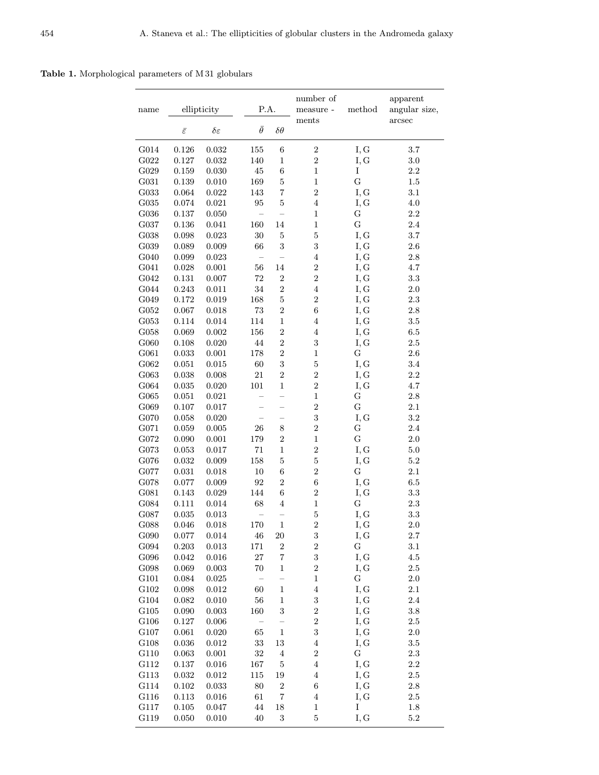Table 1. Morphological parameters of M 31 globulars

| ments<br>$\bar{\theta}$<br>$\bar{\varepsilon}$<br>$\delta\varepsilon$<br>$\delta \theta$<br>$\,0.032\,$<br>$\,2$<br>G014<br>0.126<br>155<br>$\,6\,$<br>I, G<br>3.7<br>$\overline{2}$<br>G022<br>0.127<br>0.032<br>140<br>$\,1$<br>I, G<br>$3.0\,$<br>$\,6$<br>I<br>G029<br>0.159<br>0.030<br>$\rm 45$<br>$\,1$<br>$2.2\,$<br>$\mathbf G$<br>169<br>$\mathbf 5$<br>$\,1$<br>G031<br>0.139<br>1.5<br>0.010<br>$\overline{2}$<br>$\overline{7}$<br>I, G<br>G033<br>$\,0.064\,$<br>0.022<br>143<br>3.1<br>$\overline{4}$<br>$4.0\,$<br>${\rm G}035$<br>$\,0.074\,$<br>0.021<br>$\rm 95$<br>$\bf 5$<br>I, G<br>${\bf G}$<br>${\rm G}036$<br>$0.137\,$<br>$0.050\,$<br>$\,1$<br>2.2 | apparent<br>angular size,<br>arcsec |
|-------------------------------------------------------------------------------------------------------------------------------------------------------------------------------------------------------------------------------------------------------------------------------------------------------------------------------------------------------------------------------------------------------------------------------------------------------------------------------------------------------------------------------------------------------------------------------------------------------------------------------------------------------------------------------|-------------------------------------|
|                                                                                                                                                                                                                                                                                                                                                                                                                                                                                                                                                                                                                                                                               |                                     |
|                                                                                                                                                                                                                                                                                                                                                                                                                                                                                                                                                                                                                                                                               |                                     |
|                                                                                                                                                                                                                                                                                                                                                                                                                                                                                                                                                                                                                                                                               |                                     |
|                                                                                                                                                                                                                                                                                                                                                                                                                                                                                                                                                                                                                                                                               |                                     |
|                                                                                                                                                                                                                                                                                                                                                                                                                                                                                                                                                                                                                                                                               |                                     |
|                                                                                                                                                                                                                                                                                                                                                                                                                                                                                                                                                                                                                                                                               |                                     |
|                                                                                                                                                                                                                                                                                                                                                                                                                                                                                                                                                                                                                                                                               |                                     |
|                                                                                                                                                                                                                                                                                                                                                                                                                                                                                                                                                                                                                                                                               |                                     |
| $\mathbf G$<br>${\rm G}037$<br>0.136<br>0.041<br>160<br>14<br>$\,1$<br>2.4                                                                                                                                                                                                                                                                                                                                                                                                                                                                                                                                                                                                    |                                     |
| $\overline{5}$<br>I, G<br>$3.7\,$<br>${\rm G}038$<br>$\,0.098\,$<br>0.023<br>$30\,$<br>$\bf 5$                                                                                                                                                                                                                                                                                                                                                                                                                                                                                                                                                                                |                                     |
| 3<br>G039<br>3<br>$2.6\,$<br>0.089<br>0.009<br>66<br>I, G                                                                                                                                                                                                                                                                                                                                                                                                                                                                                                                                                                                                                     |                                     |
| $2.8\,$<br>G040<br>0.099<br>0.023<br>$\bf 4$<br>I, G                                                                                                                                                                                                                                                                                                                                                                                                                                                                                                                                                                                                                          |                                     |
| 14<br>$\overline{2}$<br>G041<br>0.028<br>$0.001\,$<br>$56\,$<br>I, G<br>$4.7\,$                                                                                                                                                                                                                                                                                                                                                                                                                                                                                                                                                                                               |                                     |
| ${\rm G}042$<br>72<br>$\,2$<br>$\overline{2}$<br>0.131<br>$0.007\,$<br>I, G<br>$3.3\,$                                                                                                                                                                                                                                                                                                                                                                                                                                                                                                                                                                                        |                                     |
| $\overline{2}$<br>G044<br>0.243<br>$0.011\,$<br>34<br>$\overline{4}$<br>I, G<br>$2.0\,$                                                                                                                                                                                                                                                                                                                                                                                                                                                                                                                                                                                       |                                     |
| $\overline{5}$<br>$\sqrt{2}$<br>G049<br>0.172<br>0.019<br>168<br>$2.3\,$<br>I, G                                                                                                                                                                                                                                                                                                                                                                                                                                                                                                                                                                                              |                                     |
| $\overline{2}$<br>$73\,$<br>$\,6$<br>G052<br>0.067<br>0.018<br>I, G<br>$2.8\,$                                                                                                                                                                                                                                                                                                                                                                                                                                                                                                                                                                                                |                                     |
| $\,1$<br>$\!.5$<br>G053<br>0.114<br>0.014<br>114<br>$\bf 4$<br>I, G                                                                                                                                                                                                                                                                                                                                                                                                                                                                                                                                                                                                           |                                     |
| $\overline{\mathbf{2}}$<br>$\overline{4}$<br>${\rm G}058$<br>0.069<br>$0.002\,$<br>156<br>I, G<br>$6.5\,$                                                                                                                                                                                                                                                                                                                                                                                                                                                                                                                                                                     |                                     |
| $\overline{2}$<br>$\sqrt{3}$<br>$2.5\,$<br>G060<br>0.108<br>$0.020\,$<br>$44\,$<br>I, G                                                                                                                                                                                                                                                                                                                                                                                                                                                                                                                                                                                       |                                     |
| 178<br>$\overline{2}$<br>$\,1$<br>G061<br>G<br>$2.6\,$<br>0.033<br>0.001                                                                                                                                                                                                                                                                                                                                                                                                                                                                                                                                                                                                      |                                     |
| 3<br>$\overline{5}$<br>I, G<br>$3.4\,$<br>G062<br>$\,0.015\,$<br>60<br>0.051                                                                                                                                                                                                                                                                                                                                                                                                                                                                                                                                                                                                  |                                     |
| $\overline{2}$<br>$\overline{2}$<br>21<br>$2.2\,$<br>G063<br>0.038<br>0.008<br>I, G                                                                                                                                                                                                                                                                                                                                                                                                                                                                                                                                                                                           |                                     |
| 101<br>$\,1$<br>$\overline{2}$<br>$4.7\,$<br>G064<br>0.035<br>$0.020\,$<br>I, G                                                                                                                                                                                                                                                                                                                                                                                                                                                                                                                                                                                               |                                     |
| $\,1$<br>${\bf G}$<br>${\rm G}065$<br>0.051<br>$\,0.021\,$<br>$2.8\,$<br>$\overline{\phantom{0}}$                                                                                                                                                                                                                                                                                                                                                                                                                                                                                                                                                                             |                                     |
| $\overline{2}$<br>$\mathbf G$<br>G069<br>$0.107\,$<br>$0.017\,$<br>$2.1\,$                                                                                                                                                                                                                                                                                                                                                                                                                                                                                                                                                                                                    |                                     |
| 3<br>I, G<br>$\!3.2\!$<br>G070<br>0.058<br>0.020<br>$\overline{a}$                                                                                                                                                                                                                                                                                                                                                                                                                                                                                                                                                                                                            |                                     |
| $\overline{2}$<br>$\,$ $\,$<br>${\bf G}$<br>$2.4\,$<br>G071<br>0.059<br>$\,0.005\,$<br>$26\,$                                                                                                                                                                                                                                                                                                                                                                                                                                                                                                                                                                                 |                                     |
| $\mathbf G$<br>$\overline{2}$<br>$\,1$<br>$2.0\,$<br>G072<br>0.090<br>$0.001\,$<br>179                                                                                                                                                                                                                                                                                                                                                                                                                                                                                                                                                                                        |                                     |
| $\overline{2}$<br>$\,1$<br>$5.0\,$<br>G073<br>0.053<br>71<br>I, G<br>0.017                                                                                                                                                                                                                                                                                                                                                                                                                                                                                                                                                                                                    |                                     |
| $\mathbf 5$<br>$5.2\,$<br>G076<br>$\,0.032\,$<br>0.009<br>158<br>$\bf 5$<br>I, G                                                                                                                                                                                                                                                                                                                                                                                                                                                                                                                                                                                              |                                     |
| $\overline{2}$<br>$\mathbf G$<br>G077<br>0.031<br>0.018<br>10<br>$\;6\;$<br>2.1                                                                                                                                                                                                                                                                                                                                                                                                                                                                                                                                                                                               |                                     |
| $\,$ 6 $\,$<br>$\overline{2}$<br>I, G<br>$6.5\,$<br>G078<br>0.077<br>$0.009\,$<br>92                                                                                                                                                                                                                                                                                                                                                                                                                                                                                                                                                                                          |                                     |
| 144<br>$\,6$<br>$\sqrt{2}$<br>$\!3.3\!$<br>${\rm G}081$<br>0.143<br>0.029<br>I, G                                                                                                                                                                                                                                                                                                                                                                                                                                                                                                                                                                                             |                                     |
| $\,1$<br>G<br>$2.3\,$<br>${\rm G}084$<br>68<br>$\bf 4$<br>0.111<br>0.014                                                                                                                                                                                                                                                                                                                                                                                                                                                                                                                                                                                                      |                                     |
| G087<br>$\overline{5}$<br>I, G<br>$\!3.3\!$<br>0.035<br>0.013                                                                                                                                                                                                                                                                                                                                                                                                                                                                                                                                                                                                                 |                                     |
| $\overline{2}$<br>G088<br>I, G<br>2.0<br>$0.046\,$<br>0.018<br>170<br>1                                                                                                                                                                                                                                                                                                                                                                                                                                                                                                                                                                                                       |                                     |
| G090<br>0.077<br>46<br>20<br>3<br>I, G<br>2.7<br>0.014                                                                                                                                                                                                                                                                                                                                                                                                                                                                                                                                                                                                                        |                                     |
| $\overline{2}$<br>$\mathbf G$<br>171<br>3.1<br>G094<br>$0.203\,$<br>$\,0.013\,$<br>$\boldsymbol{2}$                                                                                                                                                                                                                                                                                                                                                                                                                                                                                                                                                                           |                                     |
| 3<br>27<br>$\overline{7}$<br>4.5<br>G096<br>I, G<br>0.042<br>0.016                                                                                                                                                                                                                                                                                                                                                                                                                                                                                                                                                                                                            |                                     |
| $\overline{a}$<br>$\,1$<br>$2.5\,$<br>G098<br>0.069<br>70<br>I, G<br>0.003                                                                                                                                                                                                                                                                                                                                                                                                                                                                                                                                                                                                    |                                     |
| $\overline{a}$<br>$\,1$<br>G101<br>G<br>$2.0\,$<br>0.084<br>0.025                                                                                                                                                                                                                                                                                                                                                                                                                                                                                                                                                                                                             |                                     |
| G102<br>$\,0.098\,$<br>60<br>$\,1$<br>$\,4\,$<br>I, G<br>$2.1\,$<br>0.012                                                                                                                                                                                                                                                                                                                                                                                                                                                                                                                                                                                                     |                                     |
| $56\,$<br>3<br>G104<br>0.082<br>I, G<br>$2.4\,$<br>0.010<br>$\mathbf 1$                                                                                                                                                                                                                                                                                                                                                                                                                                                                                                                                                                                                       |                                     |
| 3<br>$\sqrt{2}$<br>G105<br>0.090<br>$\,0.003\,$<br>160<br>I, G<br>$3.8\,$<br>$\overline{2}$<br>2.5<br>G106<br>$0.127\,$<br>0.006                                                                                                                                                                                                                                                                                                                                                                                                                                                                                                                                              |                                     |
| I, G<br>-<br>3                                                                                                                                                                                                                                                                                                                                                                                                                                                                                                                                                                                                                                                                |                                     |
| $\,1$<br>$2.0\,$<br>G107<br>0.061<br>0.020<br>65<br>I, G<br>$33\,$<br>$\,4\,$<br>$3.5\,$<br>G <sub>108</sub><br>0.036<br>0.012<br>13<br>I, G                                                                                                                                                                                                                                                                                                                                                                                                                                                                                                                                  |                                     |
| 32<br>$\overline{2}$<br>G<br>G110<br>0.063<br>$0.001\,$<br>$\,4\,$<br>$2.3\,$                                                                                                                                                                                                                                                                                                                                                                                                                                                                                                                                                                                                 |                                     |
| 167<br>$\bf 5$<br>$\overline{\mathbf{4}}$<br>I, G<br>$2.2\,$<br>G112<br>0.137<br>0.016                                                                                                                                                                                                                                                                                                                                                                                                                                                                                                                                                                                        |                                     |
| $\bf 4$<br>115<br>19<br>$2.5\,$<br>G113<br>0.032<br>0.012<br>I, G                                                                                                                                                                                                                                                                                                                                                                                                                                                                                                                                                                                                             |                                     |
| $\boldsymbol{6}$<br>$2.8\,$<br>G114<br>80<br>$\sqrt{2}$<br>I, G<br>0.102<br>0.033                                                                                                                                                                                                                                                                                                                                                                                                                                                                                                                                                                                             |                                     |
| $\sqrt{7}$<br>$2.5\,$<br>G116<br>0.113<br>0.016<br>61<br>$\,4\,$<br>I, G                                                                                                                                                                                                                                                                                                                                                                                                                                                                                                                                                                                                      |                                     |
| G117<br>44<br>$\,1$<br>I<br>$1.8\,$<br>0.105<br>0.047<br>18                                                                                                                                                                                                                                                                                                                                                                                                                                                                                                                                                                                                                   |                                     |
| $\mathbf 5$<br>G119<br>0.050<br>3<br>I, G<br>5.2<br>0.010<br>40                                                                                                                                                                                                                                                                                                                                                                                                                                                                                                                                                                                                               |                                     |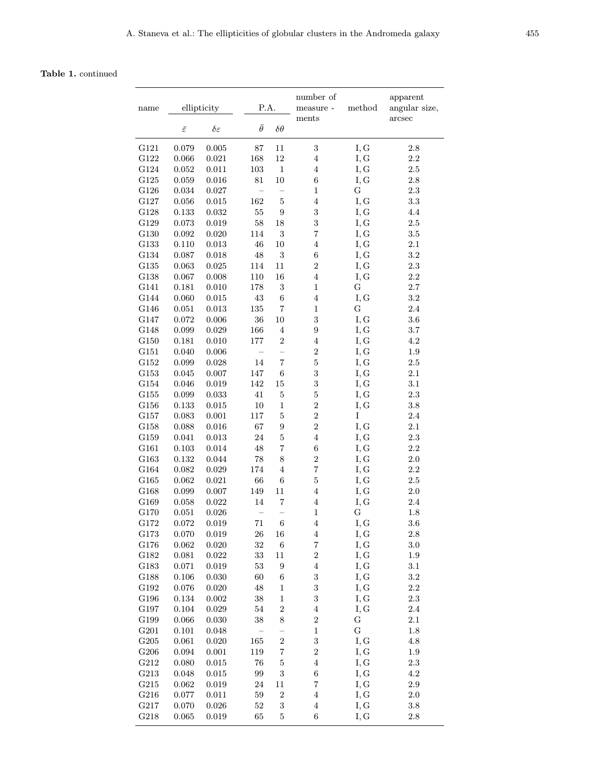# Table 1. continued

| name         | ellipticity         |                     | P.A.           |                          | number of<br>$\rm measure$ -<br>ments | $\operatorname{method}$ | apparent<br>angular size, |
|--------------|---------------------|---------------------|----------------|--------------------------|---------------------------------------|-------------------------|---------------------------|
|              | $\bar{\varepsilon}$ | $\delta\varepsilon$ | $\bar{\theta}$ | $\delta \theta$          |                                       |                         | arcsec                    |
| G121         | 0.079               | 0.005               | 87             | 11                       | 3                                     | I, G                    | 2.8                       |
| G122         | 0.066               | 0.021               | 168            | $12\,$                   | $\overline{4}$                        | I, G                    | $2.2\,$                   |
| G124         | 0.052               | 0.011               | 103            | $\,1$                    | $\bf 4$                               | I, G                    | $2.5\,$                   |
| G125         | 0.059               | 0.016               | 81             | $10\,$                   | 6                                     | I, G                    | 2.8                       |
| G126         | 0.034               | 0.027               |                | $\equiv$                 | $\,1$                                 | G                       | $2.3\,$                   |
| G127         | 0.056               | $\,0.015\,$         | 162            | $\bf 5$                  | $\overline{4}$                        | I, G                    | 3.3                       |
| G128         | $\rm 0.133$         | 0.032               | $55\,$         | 9                        | 3                                     | I, G                    | 4.4                       |
| G129         | 0.073               | 0.019               | $58\,$         | 18                       | 3                                     | I, G                    | $2.5\,$                   |
| G130         | 0.092               | 0.020               | 114            | $\boldsymbol{3}$         | 7                                     | I, G                    | $3.5\,$                   |
| G133         | 0.110               | 0.013               | 46             | $10\,$                   | $\bf 4$                               | I, G                    | 2.1                       |
| ${\rm G}134$ | 0.087               | 0.018               | 48             | $\sqrt{3}$               | $\,6$                                 | I, G                    | $\!3.2\!$                 |
| G135         | 0.063               | 0.025               | 114            | 11                       | $\overline{2}$                        | I, G                    | 2.3                       |
| G138         | 0.067               | 0.008               | 110            | 16                       | $\bf 4$                               | I, G                    | 2.2                       |
| G141         | 0.181               | 0.010               | 178            | $\sqrt{3}$               | $\,1$                                 | $\mathbf G$             | 2.7                       |
| G144         | 0.060               | 0.015               | 43             | $\,6$                    | $\bf 4$                               | I, G                    | $\!3.2\!$                 |
| G146         | 0.051               | 0.013               | 135            | $\overline{\mathbf{7}}$  | $\,1$                                 | $\mathbf G$             | $2.4\,$                   |
| ${\rm G}147$ | 0.072               | $0.006\,$           | 36             | $10\,$                   | 3                                     | I, G                    | $3.6\,$                   |
| G148         | 0.099               | $\,0.029\,$         | 166            | $\overline{4}$           | 9                                     | I, G                    | 3.7                       |
| G150         | 0.181               | 0.010               | 177            | $\boldsymbol{2}$         | $\bf 4$                               | I, G                    | 4.2                       |
| G151         | 0.040               | $0.006\,$           |                | $\overline{\phantom{0}}$ | $\overline{2}$                        | I, G                    | $1.9\,$                   |
| G152         | 0.099               | 0.028               | 14             | $\overline{\mathbf{7}}$  | $\overline{5}$                        | I, G                    | $2.5\,$                   |
| G153         | 0.045               | 0.007               | 147            | $\,6$                    | 3                                     | I, G                    | 2.1                       |
| G154         | 0.046               | 0.019               | 142            | 15                       | 3                                     | I, G                    | 3.1                       |
| G155         | 0.099               | $\,0.033\,$         | 41             | $\bf 5$                  | $\overline{5}$                        | I, G                    | 2.3                       |
| G156         | 0.133               | 0.015               | 10             | $\mathbf{1}$             | $\overline{2}$                        | I, G                    | 3.8                       |
| G157         | 0.083               | 0.001               | 117            | $\bf 5$                  | $\overline{2}$                        | I                       | $2.4\,$                   |
| G158         | 0.088               | $\,0.016\,$         | 67             | $\boldsymbol{9}$         | $\overline{2}$                        | I, G                    | 2.1                       |
| G159         | 0.041               | 0.013               | 24             | $\bf 5$                  | $\overline{4}$                        | I, G                    | $2.3\,$                   |
| G161         | $\rm 0.103$         | $\,0.014\,$         | 48             | 7                        | $\;6\;$                               | I, G                    | 2.2                       |
| G163         | 0.132               | 0.044               | 78             | 8                        | $\overline{2}$                        | I, G                    | 2.0                       |
| G164         | 0.082               | $\,0.029\,$         | 174            | $\,4\,$                  | $\overline{7}$                        | I, G                    | 2.2                       |
| G165         | $\,0.062\,$         | 0.021               | 66             | $\,6$                    | $\overline{5}$                        | I, G                    | $2.5\,$                   |
| G168         | 0.099               | 0.007               | 149            | 11                       | $\bf 4$                               | I, G                    | 2.0                       |
| G169         | 0.058               | $\,0.022\,$         | 14             | $\scriptstyle{7}$        | $\,4\,$                               | I, G                    | 2.4                       |
| G170         | 0.051               | 0.026               |                |                          | $\,1$                                 | $\mathbf G$             | 1.8                       |
| G172         | 0.072               | 0.019               | 71             | 6                        | 4                                     | I, G                    | 3.6                       |
| G173         | 0.070               | 0.019               | 26             | 16                       | $\overline{4}$                        | I, G                    | $2.8\,$                   |
| G176         | 0.062               | $0.020\,$           | 32             | $\,6$                    | $\overline{7}$                        | I, G                    | $3.0\,$                   |
| G182         | 0.081               | 0.022               | 33             | 11                       | $\overline{\mathbf{2}}$               | I, G                    | 1.9                       |
| G183         | 0.071               | 0.019               | $53\,$         | $\boldsymbol{9}$         | $\overline{4}$                        | I, G                    | 3.1                       |
| G188         | 0.106               | $0.030\,$           | 60             | $\;6\;$                  | 3                                     | I, G                    | $3.2\,$                   |
| G192         | 0.076               | 0.020               | 48             | $\,1$                    | 3                                     | I, G                    | $2.2\,$                   |
| G196         | 0.134               | $0.002\,$           | 38             | $\,1$                    | 3                                     | I, G                    | $2.3\,$                   |
| G197         | 0.104               | $\,0.029\,$         | $54\,$         | $\boldsymbol{2}$         | $\overline{4}$                        | I, G                    | $2.4\,$                   |
| G199         | 0.066               | 0.030               | 38             | $\,$ $\,$                | $\overline{2}$                        | ${\bf G}$               | $2.1\,$                   |
| G201         | 0.101               | $0.048\,$           |                |                          | $\,1$                                 | $\mathbf G$             | $1.8\,$                   |
| G205         | 0.061               | $0.020\,$           | 165            | $\sqrt{2}$               | 3                                     | I, G                    | 4.8                       |
| G206         | 0.094               | 0.001               | 119            | 7                        | $\overline{2}$                        | I, G                    | 1.9                       |
| G212         | 0.080               | 0.015               | 76             | $\mathbf 5$              | $\overline{4}$                        | I, G                    | $2.3\,$                   |
| G213         | 0.048               | 0.015               | 99             | $\,3$                    | $\boldsymbol{6}$                      | I, G                    | $4.2\,$                   |
| G215         | 0.062               | 0.019               | $24\,$         | 11                       | $\overline{7}$                        | I, G                    | $2.9\,$                   |
| G216         | 0.077               | 0.011               | 59             | $\,2$                    | $\,4\,$                               | I, G                    | $2.0\,$                   |
| G217         | 0.070               | 0.026               | $52\,$         | $\,3$                    | $\overline{\mathbf{4}}$               | I, G                    | $3.8\,$                   |
| G218         | 0.065               | 0.019               | 65             | $\bf 5$                  | 6                                     | I, G                    | 2.8                       |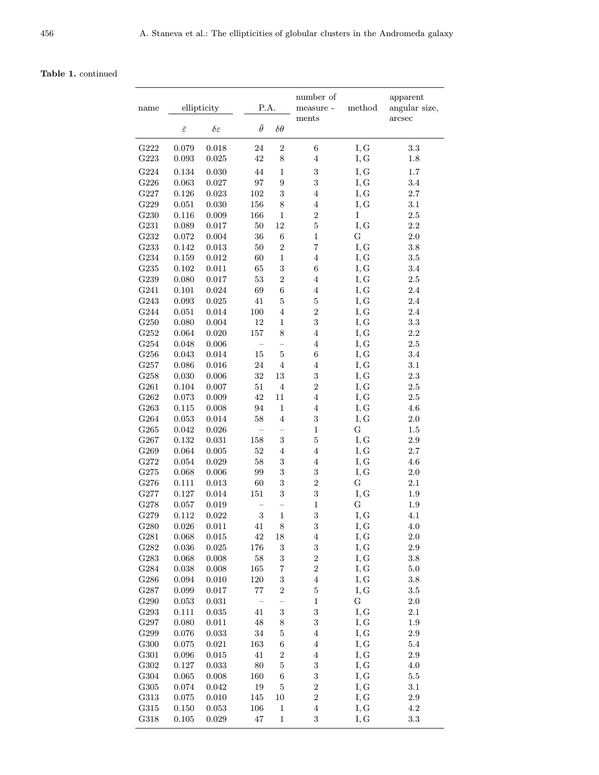# Table 1. continued

| name             | ellipticity         |                     | P.A.           |                          | number of<br>measure - $\,$               | $\operatorname{method}$ | apparent<br>angular size, |
|------------------|---------------------|---------------------|----------------|--------------------------|-------------------------------------------|-------------------------|---------------------------|
|                  | $\bar{\varepsilon}$ | $\delta\varepsilon$ | $\bar{\theta}$ | $\delta \theta$          | ments                                     |                         | arcsec                    |
| G <sub>222</sub> | 0.079               | 0.018               | 24             | $\sqrt{2}$               | $\,6$                                     | I, G                    | 3.3                       |
| G223             | $\,0.093\,$         | $\,0.025\,$         | 42             | 8                        | $\bf 4$                                   | I, G                    | $1.8\,$                   |
| ${\rm G}224$     | 0.134               | 0.030               | 44             | $\,1$                    | $\sqrt{3}$                                | I, G                    | 1.7                       |
| G226             | 0.063               | 0.027               | 97             | $\overline{9}$           | $\boldsymbol{3}$                          | I, G                    | 3.4                       |
| G227             | 0.126               | 0.023               | 102            | 3                        | $\bf 4$                                   | I, G                    | 2.7                       |
| G229             | 0.051               | 0.030               | 156            | 8                        | $\bf 4$                                   | I, G                    | 3.1                       |
| G <sub>230</sub> | 0.116               | 0.009               | 166            | $\,1$                    | $\overline{\mathbf{2}}$                   | I                       | $2.5\,$                   |
| G231             | 0.089               | 0.017               | $50\,$         | 12                       | $\overline{5}$                            | I, G                    | 2.2                       |
| G232             | $\,0.072\,$         | 0.004               | 36             | $\,6$                    | $\,1$                                     | G                       | 2.0                       |
| G233             | 0.142               | 0.013               | $50\,$         | $\overline{2}$           | $\overline{7}$                            | I, G                    | $3.8\,$                   |
| G234             | 0.159               | $\,0.012\,$         | 60             | $\mathbf{1}$             | $\bf 4$                                   | I, G                    | $3.5\,$                   |
| G235             | 0.102               | 0.011               | 65             | 3                        | $\,6$                                     | I, G                    | $3.4\,$                   |
| G239             | 0.080               | 0.017               | 53             | $\overline{2}$           | $\,4\,$                                   | I, G                    | $2.5\,$                   |
| G241             | 0.101               | 0.024               | 69             | $\,$ 6 $\,$              | $\,4\,$                                   | I, G                    | $2.4\,$                   |
| G243             | 0.093               | 0.025               | 41             | $\overline{5}$           | $\bf 5$                                   | I, G                    | 2.4                       |
| G244             | 0.051               | 0.014               | 100            | $\bf 4$                  | $\sqrt{2}$                                | I, G                    | $2.4\,$                   |
| G250             | 0.080               | 0.004               | 12             | $\,1$                    | $\sqrt{3}$                                | I, G                    | 3.3                       |
| ${\rm G}252$     | 0.064               | 0.020               | 157            | 8                        | $\overline{4}$                            | I, G                    | 2.2                       |
| ${\rm G}254$     | 0.048               | 0.006               |                |                          | $\bf 4$                                   | I, G                    | $2.5\,$                   |
| G256             | 0.043               | 0.014               | $15\,$         | $\overline{5}$           | $\;6\;$                                   | I, G                    | 3.4                       |
| G257             | 0.086               | 0.016               | $24\,$         | $\bf 4$                  | $\bf 4$                                   | I, G                    | 3.1                       |
| G258             | 0.030               | 0.006               | 32             | 13                       | $\sqrt{3}$                                | I, G                    | $2.3\,$                   |
| G <sub>261</sub> | 0.104               | 0.007               | 51             | $\bf 4$                  | $\overline{2}$                            | I, G                    | $2.5\,$                   |
| G <sub>262</sub> | 0.073               | 0.009               | $42\,$         | 11                       | $\bf 4$                                   | I, G                    | $2.5\,$                   |
| G <sub>263</sub> | 0.115               | 0.008               | 94             | $\mathbf 1$              | $\,4\,$                                   | I, G                    | 4.6                       |
| G264             | 0.053               | 0.014               | $58\,$         | $\bf 4$                  | 3                                         | I, G                    | $2.0\,$                   |
| G265             | 0.042               | 0.026               |                |                          | $\,1$                                     | G                       | $1.5\,$                   |
| G267             | 0.132               | $\rm 0.031$         | 158            | 3                        | $\overline{5}$                            | I, G                    | $2.9\,$                   |
| G269             | 0.064               | 0.005               | $52\,$         | $\bf 4$                  | $\bf 4$                                   | I, G                    | 2.7                       |
| G272             | 0.054               | 0.029               | 58             | 3                        | $\bf 4$                                   | I, G                    | 4.6                       |
| G275             | 0.068               | 0.006               | 99             | $\boldsymbol{3}$         | $\sqrt{3}$                                | I, G                    | $2.0\,$                   |
| G276             | 0.111               | 0.013               | 60             | 3                        | $\overline{2}$                            | G                       | 2.1                       |
| G277             | 0.127               | 0.014               | 151            | $\boldsymbol{3}$         | 3                                         | I, G                    | 1.9                       |
| G278             | 0.057               | 0.019               |                |                          | $\,1$                                     | G                       | $1.9\,$                   |
| G279             | 0.112               | 0.022               | 3              | $\mathbf{1}$             | 3                                         | I, G                    | 4.1                       |
| G280             | 0.026               | 0.011               | 41             | 8                        | 3                                         | I, G                    | 4.0                       |
| G281             | 0.068               | 0.015               | $42\,$         | 18                       | $\overline{4}$                            | I, G                    | $2.0\,$                   |
| G282             | 0.036               | 0.025               | 176            | 3                        | 3                                         | I, G                    | $2.9\,$                   |
| G283<br>G284     | 0.068<br>0.038      | 0.008               | $58\,$<br>165  | 3<br>$\overline{7}$      | $\overline{\mathbf{c}}$<br>$\overline{2}$ | I, G                    | $3.8\,$<br>$5.0\,$        |
| G286             | 0.094               | 0.008               | 120            | 3                        | $\overline{4}$                            | I, G<br>I, G            | $3.8\,$                   |
| G287             | 0.099               | 0.010<br>0.017      | $77\,$         | $\boldsymbol{2}$         | $\mathbf 5$                               | I, G                    | $3.5\,$                   |
| G290             | $0.053\,$           | 0.031               |                | $\overline{\phantom{0}}$ | $\,1$                                     | G                       | $2.0\,$                   |
| G293             | 0.111               | 0.035               | 41             | 3                        | 3                                         | I, G                    | 2.1                       |
| G297             | 0.080               | 0.011               | $48\,$         | 8                        | 3                                         | I, G                    | $1.9\,$                   |
| G299             | 0.076               | 0.033               | 34             | $\mathbf 5$              | $\overline{4}$                            | I, G                    | 2.9                       |
| ${\rm G}300$     | 0.075               | 0.021               | 163            | $\,6$                    | $\,4\,$                                   | I, G                    | $5.4\,$                   |
| G301             | 0.096               | 0.015               | 41             | $\boldsymbol{2}$         | $\overline{4}$                            | I, G                    | $2.9\,$                   |
| G302             | 0.127               | 0.033               | 80             | $\mathbf 5$              | $\boldsymbol{3}$                          | I, G                    | 4.0                       |
| G304             | 0.065               | 0.008               | 160            | $\,$ 6 $\,$              | 3                                         | I, G                    | 5.5                       |
| G305             | 0.074               | 0.042               | 19             | $\overline{5}$           | $\boldsymbol{2}$                          | I, G                    | $3.1\,$                   |
| G313             | 0.075               | 0.010               | 145            | 10                       | $\overline{\mathbf{2}}$                   | I, G                    | $2.9\,$                   |
| G315             | 0.150               | 0.053               | 106            | $\,1$                    | $\,4\,$                                   | I, G                    | $4.2\,$                   |
| G318             | 0.105               | 0.029               | $47\,$         | $\,1$                    | 3                                         | I, G                    | $\!3.3\!$                 |
|                  |                     |                     |                |                          |                                           |                         |                           |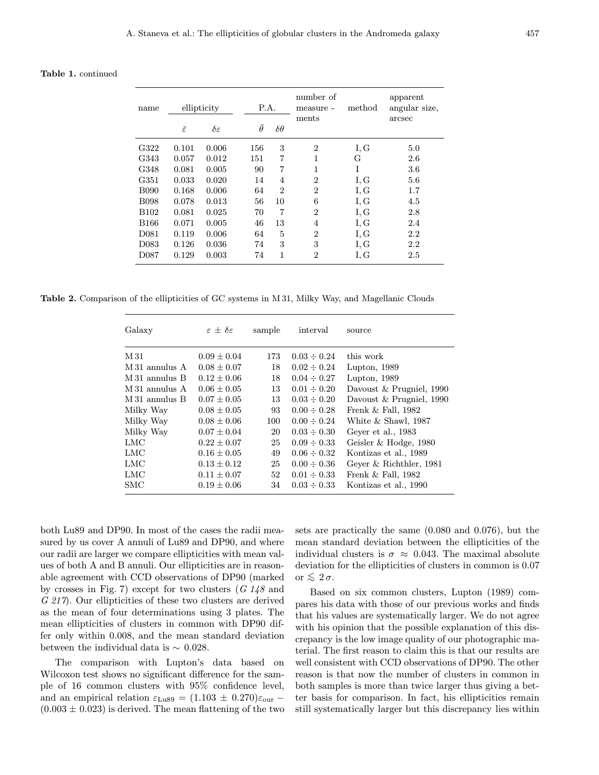Table 1. continued

| name             | ellipticity         |                      | P.A.           |                 | number of<br>measure -<br>ments | method | apparent<br>angular size. |
|------------------|---------------------|----------------------|----------------|-----------------|---------------------------------|--------|---------------------------|
|                  | $\bar{\varepsilon}$ | $\delta \varepsilon$ | $\bar{\theta}$ | $\delta \theta$ |                                 |        | arcsec                    |
| G322             | 0.101               | 0.006                | 156            | 3               | $\overline{2}$                  | I, G   | 5.0                       |
| G343             | 0.057               | 0.012                | 151            | 7               | 1                               | G      | 2.6                       |
| G348             | 0.081               | 0.005                | 90             | 7               | 1                               | Ī      | 3.6                       |
| G351             | 0.033               | 0.020                | 14             | 4               | $\overline{2}$                  | I, G   | 5.6                       |
| <b>B090</b>      | 0.168               | 0.006                | 64             | $\overline{2}$  | $\overline{2}$                  | I, G   | 1.7                       |
| <b>B098</b>      | 0.078               | 0.013                | 56             | 10              | 6                               | I, G   | 4.5                       |
| <b>B102</b>      | 0.081               | 0.025                | 70             | 7               | $\overline{2}$                  | I, G   | 2.8                       |
| <b>B166</b>      | 0.071               | 0.005                | 46             | 13              | $\overline{4}$                  | I, G   | 2.4                       |
| D <sub>081</sub> | 0.119               | 0.006                | 64             | 5               | $\overline{2}$                  | I, G   | 2.2                       |
| D <sub>083</sub> | 0.126               | 0.036                | 74             | 3               | 3                               | I, G   | 2.2                       |
| D <sub>087</sub> | 0.129               | 0.003                | 74             | 1               | $\overline{2}$                  | I, G   | 2.5                       |

Table 2. Comparison of the ellipticities of GC systems in M 31, Milky Way, and Magellanic Clouds

| Galaxy         | $\varepsilon + \delta \varepsilon$ | sample | interval         | source                   |
|----------------|------------------------------------|--------|------------------|--------------------------|
| M 31           | $0.09 + 0.04$                      | 173    | $0.03 \div 0.24$ | this work                |
| M 31 annulus A | $0.08 + 0.07$                      | 18     | $0.02 \div 0.24$ | Lupton, $1989$           |
| M 31 annulus B | $0.12 \pm 0.06$                    | 18     | $0.04 \div 0.27$ | Lupton, 1989             |
| M 31 annulus A | $0.06 + 0.05$                      | 13     | $0.01 \div 0.20$ | Davoust & Prugniel, 1990 |
| M 31 annulus B | $0.07 + 0.05$                      | 13     | $0.03 \div 0.20$ | Davoust & Prugniel, 1990 |
| Milky Way      | $0.08 \pm 0.05$                    | 93     | $0.00 \div 0.28$ | Frenk $&$ Fall, 1982     |
| Milky Way      | $0.08 \pm 0.06$                    | 100    | $0.00 \div 0.24$ | White $&$ Shawl, 1987    |
| Milky Way      | $0.07 \pm 0.04$                    | 20     | $0.03 \div 0.30$ | Geyer et al., 1983       |
| LMC            | $0.22 \pm 0.07$                    | 25     | $0.09 \div 0.33$ | Geisler & Hodge, 1980    |
| LMC            | $0.16 + 0.05$                      | 49     | $0.06 \div 0.32$ | Kontizas et al., 1989    |
| <b>LMC</b>     | $0.13 \pm 0.12$                    | 25     | $0.00 \div 0.36$ | Gever & Richthler, 1981  |
| LMC            | $0.11 + 0.07$                      | 52     | $0.01 \div 0.33$ | Frenk $&$ Fall, 1982     |
| <b>SMC</b>     | $0.19 \pm 0.06$                    | 34     | $0.03 \div 0.33$ | Kontizas et al., 1990    |

both Lu89 and DP90. In most of the cases the radii measured by us cover A annuli of Lu89 and DP90, and where our radii are larger we compare ellipticities with mean values of both A and B annuli. Our ellipticities are in reasonable agreement with CCD observations of DP90 (marked by crosses in Fig. 7) except for two clusters  $(G\ 148$  and G 217). Our ellipticities of these two clusters are derived as the mean of four determinations using 3 plates. The mean ellipticities of clusters in common with DP90 differ only within 0.008, and the mean standard deviation between the individual data is  $\sim 0.028$ .

The comparison with Lupton's data based on Wilcoxon test shows no significant difference for the sample of 16 common clusters with 95% confidence level, and an empirical relation  $\varepsilon_{\text{Lu89}} = (1.103 \pm 0.270)\varepsilon_{\text{our}}$  $(0.003 \pm 0.023)$  is derived. The mean flattening of the two sets are practically the same (0.080 and 0.076), but the mean standard deviation between the ellipticities of the individual clusters is  $\sigma \approx 0.043$ . The maximal absolute deviation for the ellipticities of clusters in common is 0.07 or  $\leqslant 2\sigma$ .

Based on six common clusters, Lupton (1989) compares his data with those of our previous works and finds that his values are systematically larger. We do not agree with his opinion that the possible explanation of this discrepancy is the low image quality of our photographic material. The first reason to claim this is that our results are well consistent with CCD observations of DP90. The other reason is that now the number of clusters in common in both samples is more than twice larger thus giving a better basis for comparison. In fact, his ellipticities remain still systematically larger but this discrepancy lies within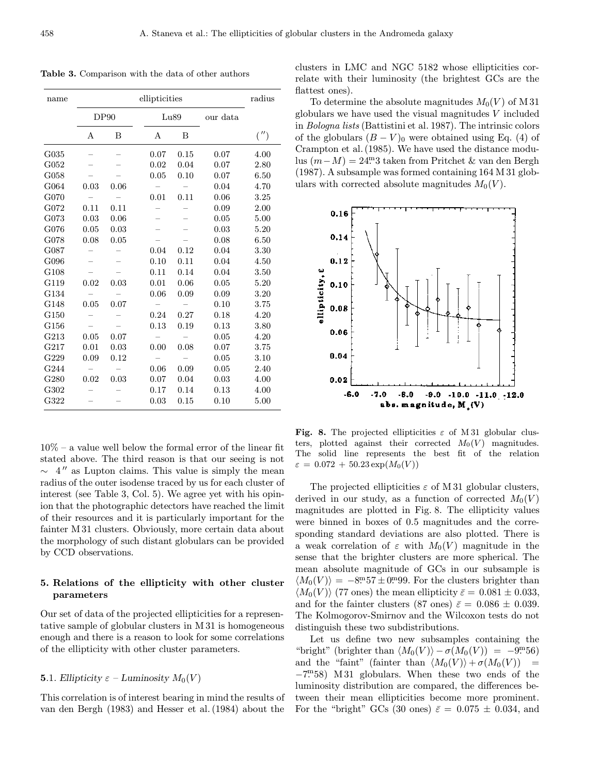Table 3. Comparison with the data of other authors

| name |      | radius |      |      |          |      |
|------|------|--------|------|------|----------|------|
|      | DP90 |        |      | Lu89 | our data |      |
|      | А    | B      | А    | B    |          | ('') |
| G035 |      |        | 0.07 | 0.15 | 0.07     | 4.00 |
| G052 |      |        | 0.02 | 0.04 | 0.07     | 2.80 |
| G058 |      |        | 0.05 | 0.10 | 0.07     | 6.50 |
| G064 | 0.03 | 0.06   |      |      | 0.04     | 4.70 |
| G070 |      |        | 0.01 | 0.11 | 0.06     | 3.25 |
| G072 | 0.11 | 0.11   |      |      | 0.09     | 2.00 |
| G073 | 0.03 | 0.06   |      |      | 0.05     | 5.00 |
| G076 | 0.05 | 0.03   |      |      | 0.03     | 5.20 |
| G078 | 0.08 | 0.05   |      |      | 0.08     | 6.50 |
| G087 |      |        | 0.04 | 0.12 | 0.04     | 3.30 |
| G096 |      |        | 0.10 | 0.11 | 0.04     | 4.50 |
| G108 |      |        | 0.11 | 0.14 | 0.04     | 3.50 |
| G119 | 0.02 | 0.03   | 0.01 | 0.06 | 0.05     | 5.20 |
| G134 |      |        | 0.06 | 0.09 | 0.09     | 3.20 |
| G148 | 0.05 | 0.07   |      |      | 0.10     | 3.75 |
| G150 |      |        | 0.24 | 0.27 | 0.18     | 4.20 |
| G156 |      |        | 0.13 | 0.19 | 0.13     | 3.80 |
| G213 | 0.05 | 0.07   | -    |      | 0.05     | 4.20 |
| G217 | 0.01 | 0.03   | 0.00 | 0.08 | 0.07     | 3.75 |
| G229 | 0.09 | 0.12   |      |      | 0.05     | 3.10 |
| G244 |      |        | 0.06 | 0.09 | 0.05     | 2.40 |
| G280 | 0.02 | 0.03   | 0.07 | 0.04 | 0.03     | 4.00 |
| G302 |      |        | 0.17 | 0.14 | 0.13     | 4.00 |
| G322 |      |        | 0.03 | 0.15 | 0.10     | 5.00 |

 $10\%$  – a value well below the formal error of the linear fit stated above. The third reason is that our seeing is not  $\sim$  4" as Lupton claims. This value is simply the mean radius of the outer isodense traced by us for each cluster of interest (see Table 3, Col. 5). We agree yet with his opinion that the photographic detectors have reached the limit of their resources and it is particularly important for the fainter M 31 clusters. Obviously, more certain data about the morphology of such distant globulars can be provided by CCD observations.

# 5. Relations of the ellipticity with other cluster parameters

Our set of data of the projected ellipticities for a representative sample of globular clusters in M 31 is homogeneous enough and there is a reason to look for some correlations of the ellipticity with other cluster parameters.

## **5.1.** Ellipticity  $\varepsilon$  – Luminosity  $M_0(V)$

This correlation is of interest bearing in mind the results of van den Bergh (1983) and Hesser et al. (1984) about the clusters in LMC and NGC 5182 whose ellipticities correlate with their luminosity (the brightest GCs are the flattest ones).

To determine the absolute magnitudes  $M_0(V)$  of M 31 globulars we have used the visual magnitudes  $V$  included in Bologna lists (Battistini et al. 1987). The intrinsic colors of the globulars  $(B - V)_0$  were obtained using Eq. (4) of Crampton et al. (1985). We have used the distance modulus (m−M) = 24. <sup>m</sup>3 taken from Pritchet & van den Bergh (1987). A subsample was formed containing 164 M 31 globulars with corrected absolute magnitudes  $M_0(V)$ .



Fig. 8. The projected ellipticities  $\varepsilon$  of M 31 globular clusters, plotted against their corrected  $M_0(V)$  magnitudes. The solid line represents the best fit of the relation  $\varepsilon = 0.072 + 50.23 \exp(M_0(V))$ 

The projected ellipticities  $\varepsilon$  of M 31 globular clusters, derived in our study, as a function of corrected  $M_0(V)$ magnitudes are plotted in Fig. 8. The ellipticity values were binned in boxes of 0.5 magnitudes and the corresponding standard deviations are also plotted. There is a weak correlation of  $\varepsilon$  with  $M_0(V)$  magnitude in the sense that the brighter clusters are more spherical. The mean absolute magnitude of GCs in our subsample is  $\langle M_0(V) \rangle = -8.57 \pm 0.099$ . For the clusters brighter than  $\langle M_0(V) \rangle$  (77 ones) the mean ellipticity  $\bar{\varepsilon} = 0.081 \pm 0.033$ , and for the fainter clusters (87 ones)  $\bar{\varepsilon} = 0.086 \pm 0.039$ . The Kolmogorov-Smirnov and the Wilcoxon tests do not distinguish these two subdistributions.

Let us define two new subsamples containing the "bright" (brighter than  $\langle M_0(V) \rangle - \sigma(M_0(V)) = -9.56$ ) and the "faint" (fainter than  $\langle M_0(V) \rangle + \sigma(M_0(V))$  = −7. <sup>m</sup>58) M 31 globulars. When these two ends of the luminosity distribution are compared, the differences between their mean ellipticities become more prominent. For the "bright" GCs (30 ones)  $\bar{\varepsilon} = 0.075 \pm 0.034$ , and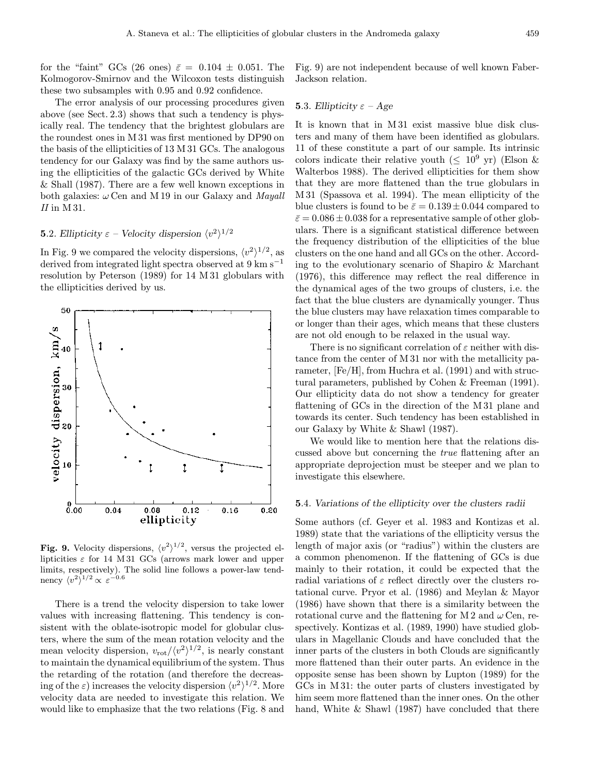for the "faint" GCs (26 ones)  $\bar{\varepsilon} = 0.104 \pm 0.051$ . The Kolmogorov-Smirnov and the Wilcoxon tests distinguish these two subsamples with 0.95 and 0.92 confidence.

The error analysis of our processing procedures given above (see Sect. 2.3) shows that such a tendency is physically real. The tendency that the brightest globulars are the roundest ones in M 31 was first mentioned by DP90 on the basis of the ellipticities of 13 M 31 GCs. The analogous tendency for our Galaxy was find by the same authors using the ellipticities of the galactic GCs derived by White & Shall (1987). There are a few well known exceptions in both galaxies:  $\omega$  Cen and M 19 in our Galaxy and *Mayall*  $II$  in M 31.

# **5.2.** Ellipticity  $\varepsilon$  – Velocity dispersion  $\langle v^2 \rangle^{1/2}$

In Fig. 9 we compared the velocity dispersions,  $\langle v^2 \rangle^{1/2}$ , as derived from integrated light spectra observed at 9 km s−<sup>1</sup> resolution by Peterson (1989) for 14 M 31 globulars with the ellipticities derived by us.



**Fig. 9.** Velocity dispersions,  $\langle v^2 \rangle^{1/2}$ , versus the projected ellipticities  $\varepsilon$  for 14 M 31 GCs (arrows mark lower and upper limits, respectively). The solid line follows a power-law tendnency  $\langle v^2 \rangle^{1/2} \propto \varepsilon^{-0.6}$ 

There is a trend the velocity dispersion to take lower values with increasing flattening. This tendency is consistent with the oblate-isotropic model for globular clusters, where the sum of the mean rotation velocity and the mean velocity dispersion,  $v_{\text{rot}}/\langle v^2 \rangle^{1/2}$ , is nearly constant to maintain the dynamical equilibrium of the system. Thus the retarding of the rotation (and therefore the decreasing of the  $\varepsilon$ ) increases the velocity dispersion  $\langle v^2 \rangle^{1/2}$ . More velocity data are needed to investigate this relation. We would like to emphasize that the two relations (Fig. 8 and

Fig. 9) are not independent because of well known Faber-Jackson relation.

# **5.3.** Ellipticity  $\varepsilon$  – Age

It is known that in M 31 exist massive blue disk clusters and many of them have been identified as globulars. 11 of these constitute a part of our sample. Its intrinsic colors indicate their relative youth ( $\leq 10^9$  yr) (Elson & Walterbos 1988). The derived ellipticities for them show that they are more flattened than the true globulars in M 31 (Spassova et al. 1994). The mean ellipticity of the blue clusters is found to be  $\bar{\varepsilon} = 0.139 \pm 0.044$  compared to  $\bar{\varepsilon}$  = 0.086  $\pm$  0.038 for a representative sample of other globulars. There is a significant statistical difference between the frequency distribution of the ellipticities of the blue clusters on the one hand and all GCs on the other. According to the evolutionary scenario of Shapiro & Marchant (1976), this difference may reflect the real difference in the dynamical ages of the two groups of clusters, i.e. the fact that the blue clusters are dynamically younger. Thus the blue clusters may have relaxation times comparable to or longer than their ages, which means that these clusters are not old enough to be relaxed in the usual way.

There is no significant correlation of  $\varepsilon$  neither with distance from the center of M 31 nor with the metallicity parameter, [Fe/H], from Huchra et al. (1991) and with structural parameters, published by Cohen & Freeman (1991). Our ellipticity data do not show a tendency for greater flattening of GCs in the direction of the M 31 plane and towards its center. Such tendency has been established in our Galaxy by White & Shawl (1987).

We would like to mention here that the relations discussed above but concerning the true flattening after an appropriate deprojection must be steeper and we plan to investigate this elsewhere.

#### 5.4. Variations of the ellipticity over the clusters radii

Some authors (cf. Geyer et al. 1983 and Kontizas et al. 1989) state that the variations of the ellipticity versus the length of major axis (or "radius") within the clusters are a common phenomenon. If the flattening of GCs is due mainly to their rotation, it could be expected that the radial variations of  $\varepsilon$  reflect directly over the clusters rotational curve. Pryor et al. (1986) and Meylan & Mayor (1986) have shown that there is a similarity between the rotational curve and the flattening for M 2 and  $\omega$  Cen, respectively. Kontizas et al. (1989, 1990) have studied globulars in Magellanic Clouds and have concluded that the inner parts of the clusters in both Clouds are significantly more flattened than their outer parts. An evidence in the opposite sense has been shown by Lupton (1989) for the GCs in M 31: the outer parts of clusters investigated by him seem more flattened than the inner ones. On the other hand, White & Shawl (1987) have concluded that there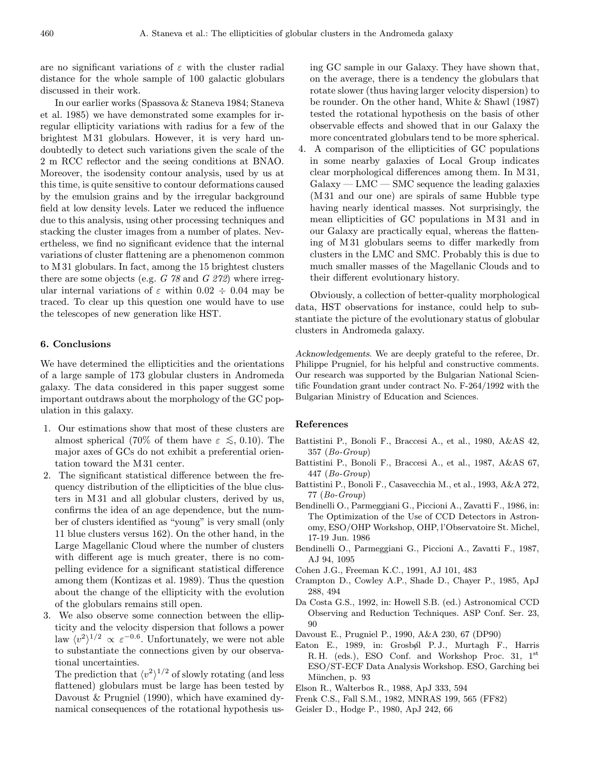are no significant variations of  $\varepsilon$  with the cluster radial distance for the whole sample of 100 galactic globulars discussed in their work.

In our earlier works (Spassova & Staneva 1984; Staneva et al. 1985) we have demonstrated some examples for irregular ellipticity variations with radius for a few of the brightest M 31 globulars. However, it is very hard undoubtedly to detect such variations given the scale of the 2 m RCC reflector and the seeing conditions at BNAO. Moreover, the isodensity contour analysis, used by us at this time, is quite sensitive to contour deformations caused by the emulsion grains and by the irregular background field at low density levels. Later we reduced the influence due to this analysis, using other processing techniques and stacking the cluster images from a number of plates. Nevertheless, we find no significant evidence that the internal variations of cluster flattening are a phenomenon common to M 31 globulars. In fact, among the 15 brightest clusters there are some objects (e.g.  $G$  78 and  $G$  272) where irregular internal variations of  $\varepsilon$  within 0.02  $\div$  0.04 may be traced. To clear up this question one would have to use the telescopes of new generation like HST.

# 6. Conclusions

We have determined the ellipticities and the orientations of a large sample of 173 globular clusters in Andromeda galaxy. The data considered in this paper suggest some important outdraws about the morphology of the GC population in this galaxy.

- 1. Our estimations show that most of these clusters are almost spherical (70% of them have  $\varepsilon \lesssim 0.10$ ). The major axes of GCs do not exhibit a preferential orientation toward the M 31 center.
- 2. The significant statistical difference between the frequency distribution of the ellipticities of the blue clusters in M 31 and all globular clusters, derived by us, confirms the idea of an age dependence, but the number of clusters identified as "young" is very small (only 11 blue clusters versus 162). On the other hand, in the Large Magellanic Cloud where the number of clusters with different age is much greater, there is no compelling evidence for a significant statistical difference among them (Kontizas et al. 1989). Thus the question about the change of the ellipticity with the evolution of the globulars remains still open.
- 3. We also observe some connection between the ellipticity and the velocity dispersion that follows a power law  $\langle v^2 \rangle^{1/2} \propto \varepsilon^{-0.6}$ . Unfortunately, we were not able to substantiate the connections given by our observational uncertainties.

The prediction that  $\langle v^2 \rangle^{1/2}$  of slowly rotating (and less flattened) globulars must be large has been tested by Davoust & Prugniel (1990), which have examined dynamical consequences of the rotational hypothesis using GC sample in our Galaxy. They have shown that, on the average, there is a tendency the globulars that rotate slower (thus having larger velocity dispersion) to be rounder. On the other hand, White & Shawl (1987) tested the rotational hypothesis on the basis of other observable effects and showed that in our Galaxy the more concentrated globulars tend to be more spherical.

4. A comparison of the ellipticities of GC populations in some nearby galaxies of Local Group indicates clear morphological differences among them. In M 31,  $Galaxy-LMC - SMC$  sequence the leading galaxies (M 31 and our one) are spirals of same Hubble type having nearly identical masses. Not surprisingly, the mean ellipticities of GC populations in M 31 and in our Galaxy are practically equal, whereas the flattening of M 31 globulars seems to differ markedly from clusters in the LMC and SMC. Probably this is due to much smaller masses of the Magellanic Clouds and to their different evolutionary history.

Obviously, a collection of better-quality morphological data, HST observations for instance, could help to substantiate the picture of the evolutionary status of globular clusters in Andromeda galaxy.

Acknowledgements. We are deeply grateful to the referee, Dr. Philippe Prugniel, for his helpful and constructive comments. Our research was supported by the Bulgarian National Scientific Foundation grant under contract No. F-264/1992 with the Bulgarian Ministry of Education and Sciences.

#### References

- Battistini P., Bonoli F., Braccesi A., et al., 1980, A&AS 42, 357 (Bo-Group)
- Battistini P., Bonoli F., Braccesi A., et al., 1987, A&AS 67, 447 (Bo-Group)
- Battistini P., Bonoli F., Casavecchia M., et al., 1993, A&A 272, 77 (Bo-Group)
- Bendinelli O., Parmeggiani G., Piccioni A., Zavatti F., 1986, in: The Optimization of the Use of CCD Detectors in Astronomy, ESO/OHP Workshop, OHP, l'Observatoire St. Michel, 17-19 Jun. 1986
- Bendinelli O., Parmeggiani G., Piccioni A., Zavatti F., 1987, AJ 94, 1095
- Cohen J.G., Freeman K.C., 1991, AJ 101, 483
- Crampton D., Cowley A.P., Shade D., Chayer P., 1985, ApJ 288, 494
- Da Costa G.S., 1992, in: Howell S.B. (ed.) Astronomical CCD Observing and Reduction Techniques. ASP Conf. Ser. 23, 90
- Davoust E., Prugniel P., 1990, A&A 230, 67 (DP90)
- Eaton E., 1989, in: Grosbøl P.J., Murtagh F., Harris R. H. (eds.), ESO Conf. and Workshop Proc. 31,  $1^{st}$ ESO/ST-ECF Data Analysis Workshop. ESO, Garching bei München, p. 93
- Elson R., Walterbos R., 1988, ApJ 333, 594
- Frenk C.S., Fall S.M., 1982, MNRAS 199, 565 (FF82)
- Geisler D., Hodge P., 1980, ApJ 242, 66